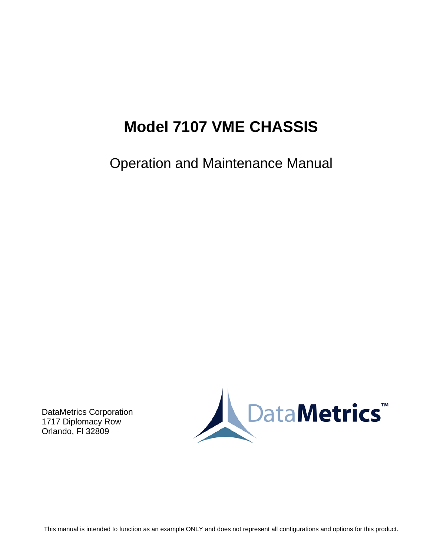# **Model 7107 VME CHASSIS**

Operation and Maintenance Manual

DataMetrics Corporation 1717 Diplomacy Row Orlando, Fl 32809



This manual is intended to function as an example ONLY and does not represent all configurations and options for this product.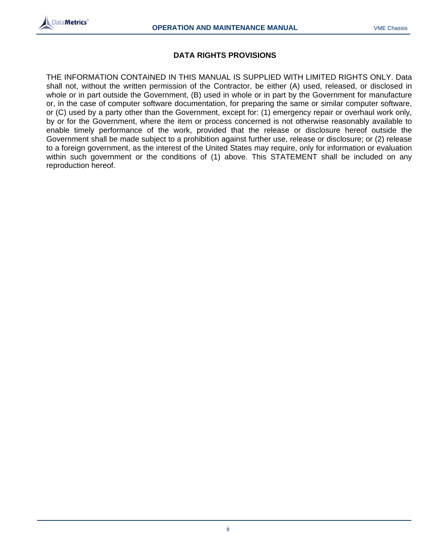

#### **DATA RIGHTS PROVISIONS**

THE INFORMATION CONTAINED IN THIS MANUAL IS SUPPLIED WITH LIMITED RIGHTS ONLY. Data shall not, without the written permission of the Contractor, be either (A) used, released, or disclosed in whole or in part outside the Government, (B) used in whole or in part by the Government for manufacture or, in the case of computer software documentation, for preparing the same or similar computer software, or (C) used by a party other than the Government, except for: (1) emergency repair or overhaul work only, by or for the Government, where the item or process concerned is not otherwise reasonably available to enable timely performance of the work, provided that the release or disclosure hereof outside the Government shall be made subject to a prohibition against further use, release or disclosure; or (2) release to a foreign government, as the interest of the United States may require, only for information or evaluation within such government or the conditions of (1) above. This STATEMENT shall be included on any reproduction hereof.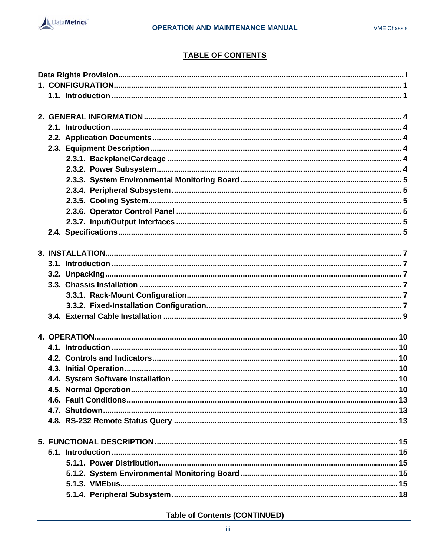

# **TABLE OF CONTENTS**

**Table of Contents (CONTINUED)**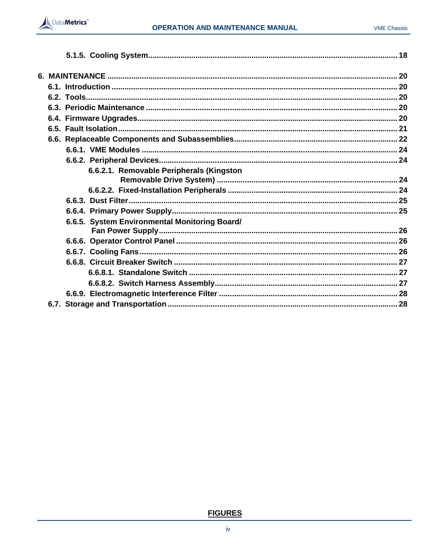

| 6.6.2.1. Removable Peripherals (Kingston      |  |
|-----------------------------------------------|--|
|                                               |  |
|                                               |  |
|                                               |  |
| 6.6.5. System Environmental Monitoring Board/ |  |
|                                               |  |
|                                               |  |
|                                               |  |
|                                               |  |
|                                               |  |
|                                               |  |
|                                               |  |
|                                               |  |

# **FIGURES**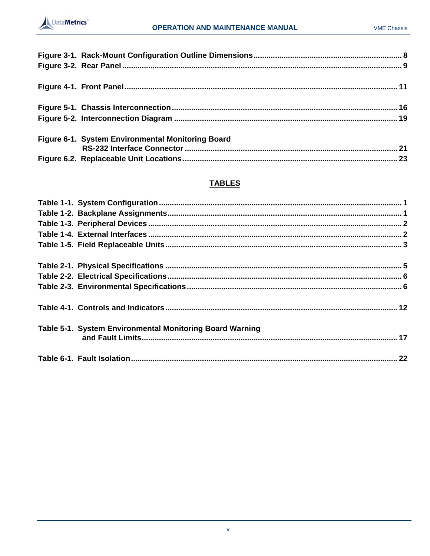

| Figure 6-1. System Environmental Monitoring Board |  |
|---------------------------------------------------|--|
|                                                   |  |

# **TABLES**

| Table 5-1. System Environmental Monitoring Board Warning |  |
|----------------------------------------------------------|--|
|                                                          |  |
|                                                          |  |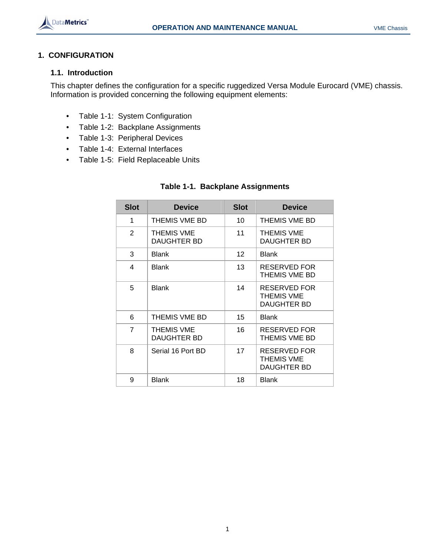

# **1. CONFIGURATION**

# **1.1. Introduction**

This chapter defines the configuration for a specific ruggedized Versa Module Eurocard (VME) chassis. Information is provided concerning the following equipment elements:

- Table 1-1: System Configuration
- Table 1-2: Backplane Assignments
- Table 1-3: Peripheral Devices
- Table 1-4: External Interfaces
- Table 1-5: Field Replaceable Units

| <b>Slot</b>    | <b>Device</b>                    | <b>Slot</b>     | <b>Device</b>                                    |
|----------------|----------------------------------|-----------------|--------------------------------------------------|
| 1              | THEMIS VME BD                    | 10              | THEMIS VME BD                                    |
| $\overline{2}$ | <b>THEMIS VME</b><br>DAUGHTER BD | 11              | <b>THEMIS VME</b><br>DAUGHTER BD                 |
| 3              | <b>Blank</b>                     | 12 <sup>2</sup> | <b>Blank</b>                                     |
| 4              | Blank                            | 13              | RESERVED FOR<br>THEMIS VME BD                    |
| 5              | Blank                            | 14              | RESERVED FOR<br><b>THEMIS VME</b><br>DAUGHTER BD |
| 6              | THEMIS VME BD                    | 15              | Blank                                            |
| $\overline{7}$ | <b>THEMIS VME</b><br>DAUGHTER BD | 16              | RESERVED FOR<br>THEMIS VME BD                    |
| 8              | Serial 16 Port BD                | 17              | RESERVED FOR<br>THEMIS VME<br>DAUGHTER BD        |
| 9              | Blank                            | 18              | <b>Blank</b>                                     |

# **Table 1-1. Backplane Assignments**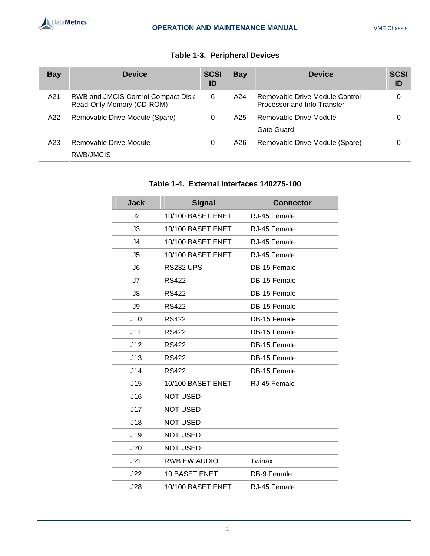| <b>Bay</b> | <b>Device</b>                                                    | <b>SCSI</b><br>ID | Bay | <b>Device</b>                                                 | <b>SCSI</b><br>ID |
|------------|------------------------------------------------------------------|-------------------|-----|---------------------------------------------------------------|-------------------|
| A21        | RWB and JMCIS Control Compact Disk-<br>Read-Only Memory (CD-ROM) | 6                 | A24 | Removable Drive Module Control<br>Processor and Info Transfer | 0                 |
| A22        | Removable Drive Module (Spare)                                   | 0                 | A25 | Removable Drive Module<br>Gate Guard                          | 0                 |
| A23        | Removable Drive Module<br>RWB/JMCIS                              | 0                 | A26 | Removable Drive Module (Spare)                                | 0                 |

# **Table 1-3. Peripheral Devices**

# **Table 1-4. External Interfaces 140275-100**

| <b>Jack</b>    | <b>Signal</b>       | <b>Connector</b>   |
|----------------|---------------------|--------------------|
| J2             | 10/100 BASET ENET   | RJ-45 Female       |
| J3             | 10/100 BASET ENET   | RJ-45 Female       |
| J <sub>4</sub> | 10/100 BASET ENET   | RJ-45 Female       |
| J <sub>5</sub> | 10/100 BASET ENET   | RJ-45 Female       |
| J <sub>6</sub> | <b>RS232 UPS</b>    | DB-15 Female       |
| J7             | <b>RS422</b>        | DB-15 Female       |
| J8             | <b>RS422</b>        | DB-15 Female       |
| J9             | <b>RS422</b>        | DB-15 Female       |
| J10            | <b>RS422</b>        | DB-15 Female       |
| J11            | <b>RS422</b>        | DB-15 Female       |
| J12            | <b>RS422</b>        | DB-15 Female       |
| J13            | <b>RS422</b>        | DB-15 Female       |
| J14            | <b>RS422</b>        | DB-15 Female       |
| J15            | 10/100 BASET ENET   | RJ-45 Female       |
| J16            | <b>NOT USED</b>     |                    |
| J17            | <b>NOT USED</b>     |                    |
| J18            | <b>NOT USED</b>     |                    |
| J19            | <b>NOT USED</b>     |                    |
| J20            | <b>NOT USED</b>     |                    |
| J21            | <b>RWB EW AUDIO</b> | Twinax             |
| J22            | 10 BASET ENET       | <b>DB-9 Female</b> |
| J28            | 10/100 BASET ENET   | RJ-45 Female       |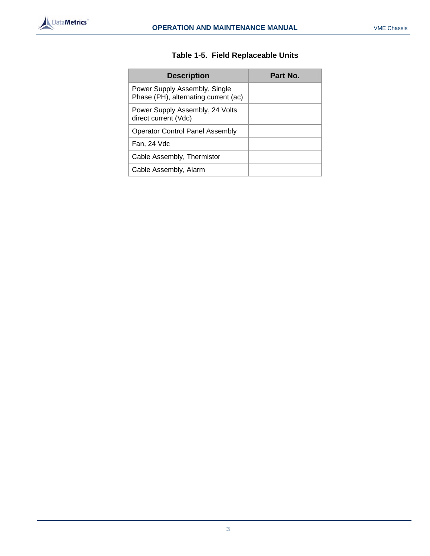

|  | Table 1-5. Field Replaceable Units |  |
|--|------------------------------------|--|
|--|------------------------------------|--|

| <b>Description</b>                                                    | Part No. |
|-----------------------------------------------------------------------|----------|
| Power Supply Assembly, Single<br>Phase (PH), alternating current (ac) |          |
| Power Supply Assembly, 24 Volts<br>direct current (Vdc)               |          |
| <b>Operator Control Panel Assembly</b>                                |          |
| Fan, 24 Vdc                                                           |          |
| Cable Assembly, Thermistor                                            |          |
| Cable Assembly, Alarm                                                 |          |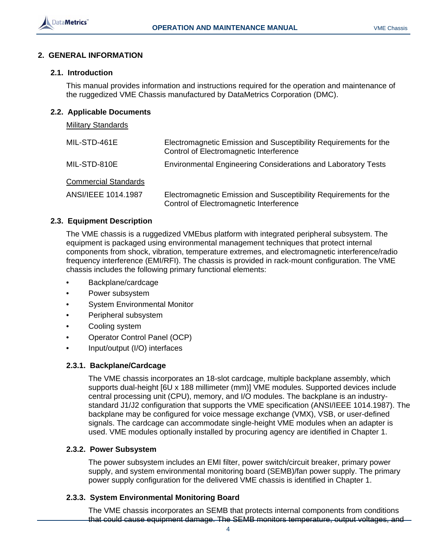

# **2. GENERAL INFORMATION**

## **2.1. Introduction**

This manual provides information and instructions required for the operation and maintenance of the ruggedized VME Chassis manufactured by DataMetrics Corporation (DMC).

#### **2.2. Applicable Documents**

# Military Standards

| MIL-STD-461E                | Electromagnetic Emission and Susceptibility Requirements for the<br>Control of Electromagnetic Interference |  |
|-----------------------------|-------------------------------------------------------------------------------------------------------------|--|
| MIL-STD-810E                | <b>Environmental Engineering Considerations and Laboratory Tests</b>                                        |  |
| <b>Commercial Standards</b> |                                                                                                             |  |
| ANSI/IEEE 1014.1987         | Electromagnetic Emission and Susceptibility Requirements for the<br>Control of Electromagnetic Interference |  |

#### **2.3. Equipment Description**

The VME chassis is a ruggedized VMEbus platform with integrated peripheral subsystem. The equipment is packaged using environmental management techniques that protect internal components from shock, vibration, temperature extremes, and electromagnetic interference/radio frequency interference (EMI/RFI). The chassis is provided in rack-mount configuration. The VME chassis includes the following primary functional elements:

- Backplane/cardcage
- Power subsystem
- System Environmental Monitor
- Peripheral subsystem
- Cooling system
- Operator Control Panel (OCP)
- Input/output (I/O) interfaces

#### **2.3.1. Backplane/Cardcage**

The VME chassis incorporates an 18-slot cardcage, multiple backplane assembly, which supports dual-height [6U x 188 millimeter (mm)] VME modules. Supported devices include central processing unit (CPU), memory, and I/O modules. The backplane is an industrystandard J1/J2 configuration that supports the VME specification (ANSI/IEEE 1014.1987). The backplane may be configured for voice message exchange (VMX), VSB, or user-defined signals. The cardcage can accommodate single-height VME modules when an adapter is used. VME modules optionally installed by procuring agency are identified in Chapter 1.

#### **2.3.2. Power Subsystem**

The power subsystem includes an EMI filter, power switch/circuit breaker, primary power supply, and system environmental monitoring board (SEMB)/fan power supply. The primary power supply configuration for the delivered VME chassis is identified in Chapter 1.

## **2.3.3. System Environmental Monitoring Board**

The VME chassis incorporates an SEMB that protects internal components from conditions that could cause equipment damage. The SEMB monitors temperature, output voltages, and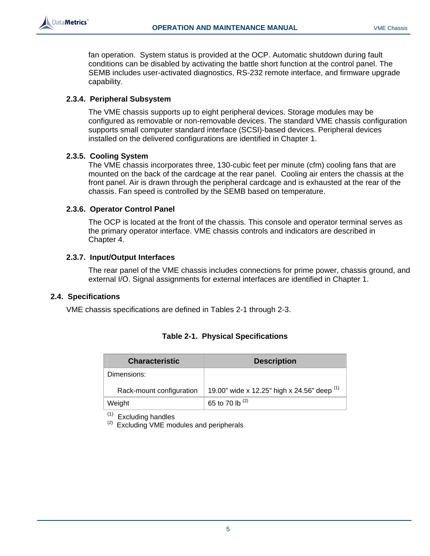

fan operation. System status is provided at the OCP. Automatic shutdown during fault conditions can be disabled by activating the battle short function at the control panel. The SEMB includes user-activated diagnostics, RS-232 remote interface, and firmware upgrade capability.

## **2.3.4. Peripheral Subsystem**

The VME chassis supports up to eight peripheral devices. Storage modules may be configured as removable or non-removable devices. The standard VME chassis configuration supports small computer standard interface (SCSI)-based devices. Peripheral devices installed on the delivered configurations are identified in Chapter 1.

#### **2.3.5. Cooling System**

The VME chassis incorporates three, 130-cubic feet per minute (cfm) cooling fans that are mounted on the back of the cardcage at the rear panel. Cooling air enters the chassis at the front panel. Air is drawn through the peripheral cardcage and is exhausted at the rear of the chassis. Fan speed is controlled by the SEMB based on temperature.

#### **2.3.6. Operator Control Panel**

The OCP is located at the front of the chassis. This console and operator terminal serves as the primary operator interface. VME chassis controls and indicators are described in Chapter 4.

#### **2.3.7. Input/Output Interfaces**

The rear panel of the VME chassis includes connections for prime power, chassis ground, and external I/O. Signal assignments for external interfaces are identified in Chapter 1.

#### **2.4. Specifications**

VME chassis specifications are defined in Tables 2-1 through 2-3.

| <b>Characteristic</b>    | <b>Description</b>                            |
|--------------------------|-----------------------------------------------|
| Dimensions:              |                                               |
| Rack-mount configuration | 19.00" wide x 12.25" high x 24.56" deep $(1)$ |
| Weight                   | 65 to 70 lb $(2)$                             |

|  |  | <b>Table 2-1. Physical Specifications</b> |
|--|--|-------------------------------------------|
|--|--|-------------------------------------------|

 $(1)$  Excluding handles<br>  $(2)$  Excluding VME modules and peripherals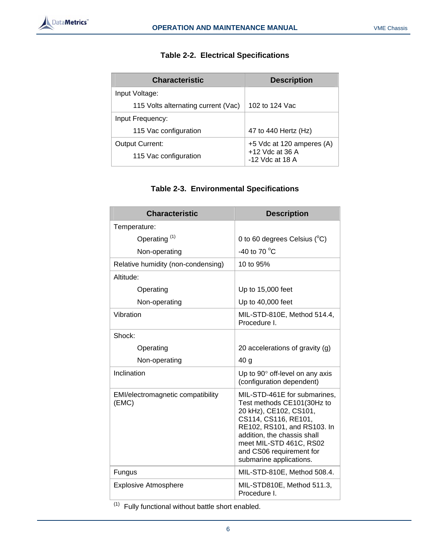| <b>Characteristic</b>               | <b>Description</b>                     |
|-------------------------------------|----------------------------------------|
| Input Voltage:                      |                                        |
| 115 Volts alternating current (Vac) | 102 to 124 Vac                         |
| Input Frequency:                    |                                        |
| 115 Vac configuration               | 47 to 440 Hertz (Hz)                   |
| <b>Output Current:</b>              | +5 Vdc at 120 amperes (A)              |
| 115 Vac configuration               | $+12$ Vdc at 36 A<br>$-12$ Vdc at 18 A |

# **Table 2-2. Electrical Specifications**

# **Table 2-3. Environmental Specifications**

| <b>Characteristic</b>                      | <b>Description</b>                                                                                                                                                                                                                                           |
|--------------------------------------------|--------------------------------------------------------------------------------------------------------------------------------------------------------------------------------------------------------------------------------------------------------------|
| Temperature:                               |                                                                                                                                                                                                                                                              |
| Operating <sup>(1)</sup>                   | 0 to 60 degrees Celsius $(^{\circ}C)$                                                                                                                                                                                                                        |
| Non-operating                              | -40 to 70 °C                                                                                                                                                                                                                                                 |
| Relative humidity (non-condensing)         | 10 to 95%                                                                                                                                                                                                                                                    |
| Altitude:                                  |                                                                                                                                                                                                                                                              |
| Operating                                  | Up to 15,000 feet                                                                                                                                                                                                                                            |
| Non-operating                              | Up to 40,000 feet                                                                                                                                                                                                                                            |
| Vibration                                  | MIL-STD-810E, Method 514.4,<br>Procedure I.                                                                                                                                                                                                                  |
| Shock:                                     |                                                                                                                                                                                                                                                              |
| Operating                                  | 20 accelerations of gravity (g)                                                                                                                                                                                                                              |
| Non-operating                              | 40 g                                                                                                                                                                                                                                                         |
| Inclination                                | Up to $90^\circ$ off-level on any axis<br>(configuration dependent)                                                                                                                                                                                          |
| EMI/electromagnetic compatibility<br>(EMC) | MIL-STD-461E for submarines,<br>Test methods CE101(30Hz to<br>20 kHz), CE102, CS101,<br>CS114, CS116, RE101,<br>RE102, RS101, and RS103. In<br>addition, the chassis shall<br>meet MIL-STD 461C, RS02<br>and CS06 requirement for<br>submarine applications. |
| Fungus                                     | MIL-STD-810E, Method 508.4.                                                                                                                                                                                                                                  |
| <b>Explosive Atmosphere</b>                | MIL-STD810E, Method 511.3,<br>Procedure I.                                                                                                                                                                                                                   |

 $(1)$  Fully functional without battle short enabled.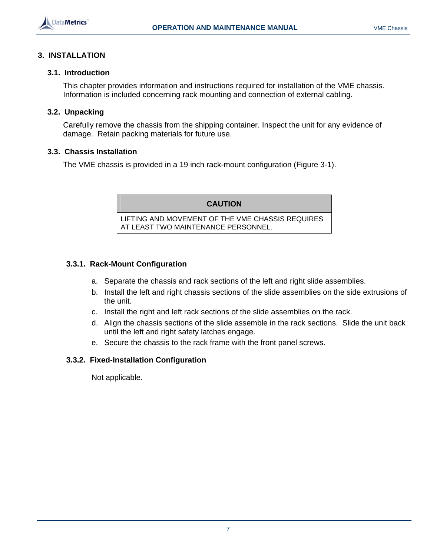

# **3. INSTALLATION**

#### **3.1. Introduction**

This chapter provides information and instructions required for installation of the VME chassis. Information is included concerning rack mounting and connection of external cabling.

## **3.2. Unpacking**

Carefully remove the chassis from the shipping container. Inspect the unit for any evidence of damage. Retain packing materials for future use.

#### **3.3. Chassis Installation**

The VME chassis is provided in a 19 inch rack-mount configuration (Figure 3-1).

**CAUTION** 

LIFTING AND MOVEMENT OF THE VME CHASSIS REQUIRES AT LEAST TWO MAINTENANCE PERSONNEL.

# **3.3.1. Rack-Mount Configuration**

- a. Separate the chassis and rack sections of the left and right slide assemblies.
- b. Install the left and right chassis sections of the slide assemblies on the side extrusions of the unit.
- c. Install the right and left rack sections of the slide assemblies on the rack.
- d. Align the chassis sections of the slide assemble in the rack sections. Slide the unit back until the left and right safety latches engage.
- e. Secure the chassis to the rack frame with the front panel screws.

# **3.3.2. Fixed-Installation Configuration**

Not applicable.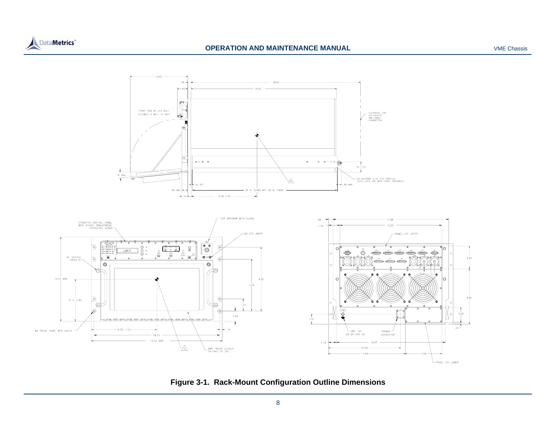



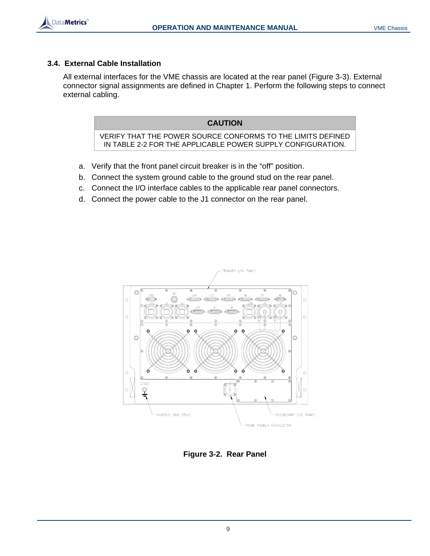# **3.4. External Cable Installation**

DataMetrics<sup>®</sup>

All external interfaces for the VME chassis are located at the rear panel (Figure 3-3). External connector signal assignments are defined in Chapter 1. Perform the following steps to connect external cabling.

# **CAUTION**

VERIFY THAT THE POWER SOURCE CONFORMS TO THE LIMITS DEFINED IN TABLE 2-2 FOR THE APPLICABLE POWER SUPPLY CONFIGURATION.

- a. Verify that the front panel circuit breaker is in the "off" position.
- b. Connect the system ground cable to the ground stud on the rear panel.
- c. Connect the I/O interface cables to the applicable rear panel connectors.
- d. Connect the power cable to the J1 connector on the rear panel.



**Figure 3-2. Rear Panel**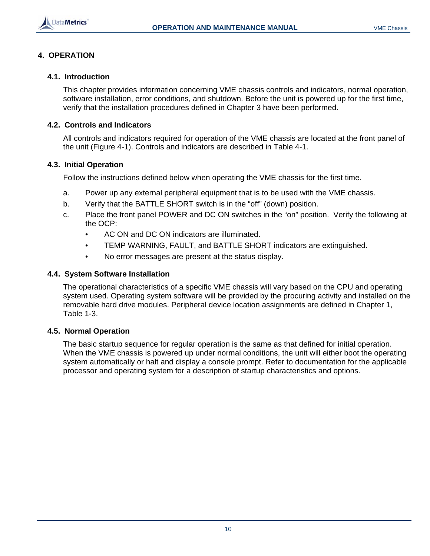

# **4. OPERATION**

## **4.1. Introduction**

This chapter provides information concerning VME chassis controls and indicators, normal operation, software installation, error conditions, and shutdown. Before the unit is powered up for the first time, verify that the installation procedures defined in Chapter 3 have been performed.

#### **4.2. Controls and Indicators**

All controls and indicators required for operation of the VME chassis are located at the front panel of the unit (Figure 4-1). Controls and indicators are described in Table 4-1.

#### **4.3. Initial Operation**

Follow the instructions defined below when operating the VME chassis for the first time.

- a. Power up any external peripheral equipment that is to be used with the VME chassis.
- b. Verify that the BATTLE SHORT switch is in the "off" (down) position.
- c. Place the front panel POWER and DC ON switches in the "on" position. Verify the following at the OCP:
	- AC ON and DC ON indicators are illuminated.
	- TEMP WARNING, FAULT, and BATTLE SHORT indicators are extinguished.
	- No error messages are present at the status display.

#### **4.4. System Software Installation**

The operational characteristics of a specific VME chassis will vary based on the CPU and operating system used. Operating system software will be provided by the procuring activity and installed on the removable hard drive modules. Peripheral device location assignments are defined in Chapter 1, Table 1-3.

## **4.5. Normal Operation**

The basic startup sequence for regular operation is the same as that defined for initial operation. When the VME chassis is powered up under normal conditions, the unit will either boot the operating system automatically or halt and display a console prompt. Refer to documentation for the applicable processor and operating system for a description of startup characteristics and options.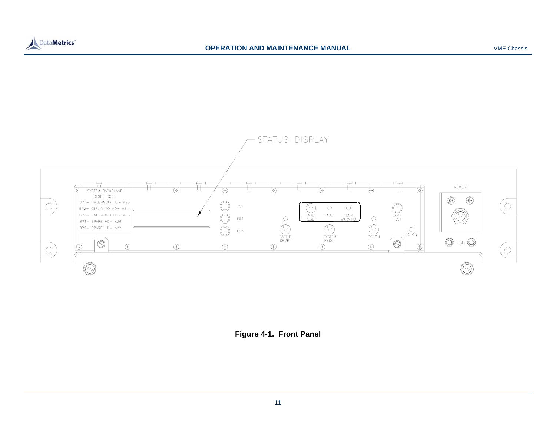





11

VME Chassis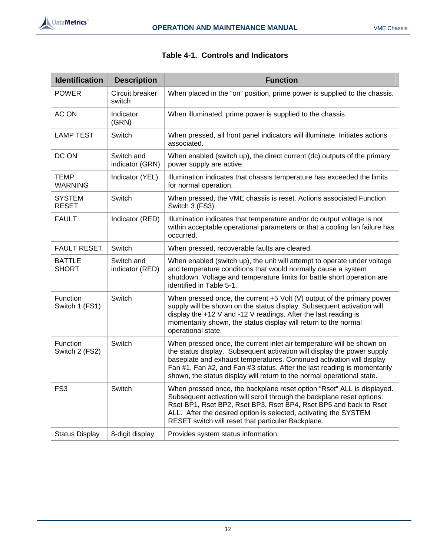

| <b>Identification</b>         | <b>Description</b>            | <b>Function</b>                                                                                                                                                                                                                                                                                                                                                                 |
|-------------------------------|-------------------------------|---------------------------------------------------------------------------------------------------------------------------------------------------------------------------------------------------------------------------------------------------------------------------------------------------------------------------------------------------------------------------------|
| <b>POWER</b>                  | Circuit breaker<br>switch     | When placed in the "on" position, prime power is supplied to the chassis.                                                                                                                                                                                                                                                                                                       |
| AC ON                         | Indicator<br>(GRN)            | When illuminated, prime power is supplied to the chassis.                                                                                                                                                                                                                                                                                                                       |
| <b>LAMP TEST</b>              | Switch                        | When pressed, all front panel indicators will illuminate. Initiates actions<br>associated.                                                                                                                                                                                                                                                                                      |
| DC ON                         | Switch and<br>indicator (GRN) | When enabled (switch up), the direct current (dc) outputs of the primary<br>power supply are active.                                                                                                                                                                                                                                                                            |
| <b>TEMP</b><br><b>WARNING</b> | Indicator (YEL)               | Illumination indicates that chassis temperature has exceeded the limits<br>for normal operation.                                                                                                                                                                                                                                                                                |
| <b>SYSTEM</b><br><b>RESET</b> | Switch                        | When pressed, the VME chassis is reset. Actions associated Function<br>Switch 3 (FS3).                                                                                                                                                                                                                                                                                          |
| <b>FAULT</b>                  | Indicator (RED)               | Illumination indicates that temperature and/or dc output voltage is not<br>within acceptable operational parameters or that a cooling fan failure has<br>occurred.                                                                                                                                                                                                              |
| <b>FAULT RESET</b>            | Switch                        | When pressed, recoverable faults are cleared.                                                                                                                                                                                                                                                                                                                                   |
| <b>BATTLE</b><br><b>SHORT</b> | Switch and<br>indicator (RED) | When enabled (switch up), the unit will attempt to operate under voltage<br>and temperature conditions that would normally cause a system<br>shutdown. Voltage and temperature limits for battle short operation are<br>identified in Table 5-1.                                                                                                                                |
| Function<br>Switch 1 (FS1)    | Switch                        | When pressed once, the current $+5$ Volt (V) output of the primary power<br>supply will be shown on the status display. Subsequent activation will<br>display the $+12$ V and $-12$ V readings. After the last reading is<br>momentarily shown, the status display will return to the normal<br>operational state.                                                              |
| Function<br>Switch 2 (FS2)    | Switch                        | When pressed once, the current inlet air temperature will be shown on<br>the status display. Subsequent activation will display the power supply<br>baseplate and exhaust temperatures. Continued activation will display<br>Fan #1, Fan #2, and Fan #3 status. After the last reading is momentarily<br>shown, the status display will return to the normal operational state. |
| FS <sub>3</sub>               | Switch                        | When pressed once, the backplane reset option "Rset" ALL is displayed.<br>Subsequent activation will scroll through the backplane reset options:<br>Rset BP1, Rset BP2, Rset BP3, Rset BP4, Rset BP5 and back to Rset<br>ALL. After the desired option is selected, activating the SYSTEM<br>RESET switch will reset that particular Backplane.                                 |
| <b>Status Display</b>         | 8-digit display               | Provides system status information.                                                                                                                                                                                                                                                                                                                                             |

# **Table 4-1. Controls and Indicators**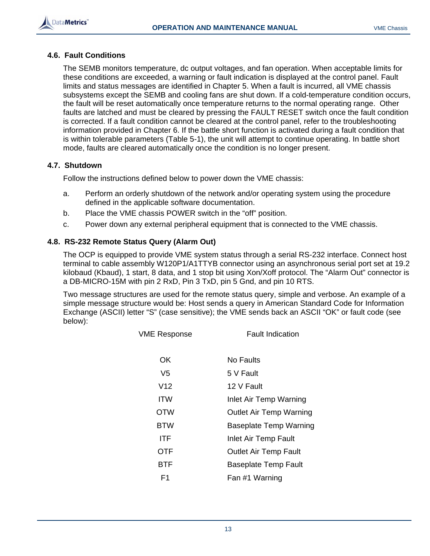

#### **4.6. Fault Conditions**

The SEMB monitors temperature, dc output voltages, and fan operation. When acceptable limits for these conditions are exceeded, a warning or fault indication is displayed at the control panel. Fault limits and status messages are identified in Chapter 5. When a fault is incurred, all VME chassis subsystems except the SEMB and cooling fans are shut down. If a cold-temperature condition occurs, the fault will be reset automatically once temperature returns to the normal operating range. Other faults are latched and must be cleared by pressing the FAULT RESET switch once the fault condition is corrected. If a fault condition cannot be cleared at the control panel, refer to the troubleshooting information provided in Chapter 6. If the battle short function is activated during a fault condition that is within tolerable parameters (Table 5-1), the unit will attempt to continue operating. In battle short mode, faults are cleared automatically once the condition is no longer present.

## **4.7. Shutdown**

Follow the instructions defined below to power down the VME chassis:

- a. Perform an orderly shutdown of the network and/or operating system using the procedure defined in the applicable software documentation.
- b. Place the VME chassis POWER switch in the "off" position.
- c. Power down any external peripheral equipment that is connected to the VME chassis.

# **4.8. RS-232 Remote Status Query (Alarm Out)**

The OCP is equipped to provide VME system status through a serial RS-232 interface. Connect host terminal to cable assembly W120P1/A1TTYB connector using an asynchronous serial port set at 19.2 kilobaud (Kbaud), 1 start, 8 data, and 1 stop bit using Xon/Xoff protocol. The "Alarm Out" connector is a DB-MICRO-15M with pin 2 RxD, Pin 3 TxD, pin 5 Gnd, and pin 10 RTS.

Two message structures are used for the remote status query, simple and verbose. An example of a simple message structure would be: Host sends a query in American Standard Code for Information Exchange (ASCII) letter "S" (case sensitive); the VME sends back an ASCII "OK" or fault code (see below):

| <b>VME Response</b> | <b>Fault Indication</b>        |
|---------------------|--------------------------------|
| OK                  | No Faults                      |
| V5                  | 5 V Fault                      |
| V <sub>12</sub>     | 12 V Fault                     |
| ITW                 | Inlet Air Temp Warning         |
| <b>OTW</b>          | <b>Outlet Air Temp Warning</b> |
| <b>BTW</b>          | <b>Baseplate Temp Warning</b>  |
| ITF                 | Inlet Air Temp Fault           |
| OTF                 | <b>Outlet Air Temp Fault</b>   |
| BTF                 | <b>Baseplate Temp Fault</b>    |
| F1                  | Fan #1 Warning                 |
|                     |                                |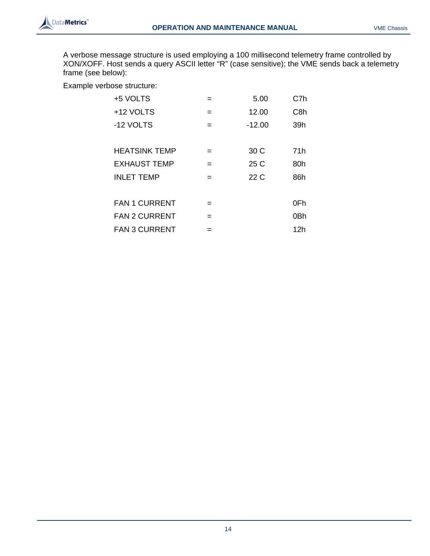

A verbose message structure is used employing a 100 millisecond telemetry frame controlled by XON/XOFF. Host sends a query ASCII letter "R" (case sensitive); the VME sends back a telemetry frame (see below):

Example verbose structure:

| +5 VOLTS             |     | 5.00     | C7h              |
|----------------------|-----|----------|------------------|
| +12 VOLTS            | =   | 12.00    | C <sub>8</sub> h |
| -12 VOLTS            | $=$ | $-12.00$ | 39h              |
|                      |     |          |                  |
| <b>HEATSINK TEMP</b> | $=$ | 30 C     | 71h              |
| <b>EXHAUST TEMP</b>  | $=$ | 25 C     | 80h              |
| <b>INLET TEMP</b>    | $=$ | 22 C     | 86h              |
|                      |     |          |                  |
| <b>FAN 1 CURRENT</b> | =   |          | 0Fh              |
| <b>FAN 2 CURRENT</b> | $=$ |          | 0Bh              |
| <b>FAN 3 CURRENT</b> | =   |          | 12h              |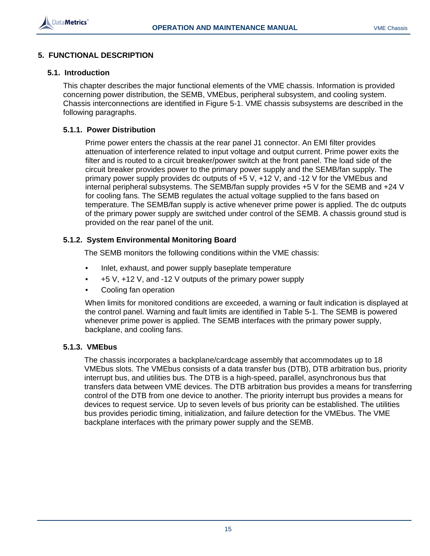

# **5. FUNCTIONAL DESCRIPTION**

#### **5.1. Introduction**

This chapter describes the major functional elements of the VME chassis. Information is provided concerning power distribution, the SEMB, VMEbus, peripheral subsystem, and cooling system. Chassis interconnections are identified in Figure 5-1. VME chassis subsystems are described in the following paragraphs.

#### **5.1.1. Power Distribution**

Prime power enters the chassis at the rear panel J1 connector. An EMI filter provides attenuation of interference related to input voltage and output current. Prime power exits the filter and is routed to a circuit breaker/power switch at the front panel. The load side of the circuit breaker provides power to the primary power supply and the SEMB/fan supply. The primary power supply provides dc outputs of +5 V, +12 V, and -12 V for the VMEbus and internal peripheral subsystems. The SEMB/fan supply provides +5 V for the SEMB and +24 V for cooling fans. The SEMB regulates the actual voltage supplied to the fans based on temperature. The SEMB/fan supply is active whenever prime power is applied. The dc outputs of the primary power supply are switched under control of the SEMB. A chassis ground stud is provided on the rear panel of the unit.

## **5.1.2. System Environmental Monitoring Board**

The SEMB monitors the following conditions within the VME chassis:

- Inlet, exhaust, and power supply baseplate temperature
- $\bullet$  +5 V,  $\text{+12 V}$ , and  $\text{-12 V}$  outputs of the primary power supply
- Cooling fan operation

When limits for monitored conditions are exceeded, a warning or fault indication is displayed at the control panel. Warning and fault limits are identified in Table 5-1. The SEMB is powered whenever prime power is applied. The SEMB interfaces with the primary power supply, backplane, and cooling fans.

## **5.1.3. VMEbus**

The chassis incorporates a backplane/cardcage assembly that accommodates up to 18 VMEbus slots. The VMEbus consists of a data transfer bus (DTB), DTB arbitration bus, priority interrupt bus, and utilities bus. The DTB is a high-speed, parallel, asynchronous bus that transfers data between VME devices. The DTB arbitration bus provides a means for transferring control of the DTB from one device to another. The priority interrupt bus provides a means for devices to request service. Up to seven levels of bus priority can be established. The utilities bus provides periodic timing, initialization, and failure detection for the VMEbus. The VME backplane interfaces with the primary power supply and the SEMB.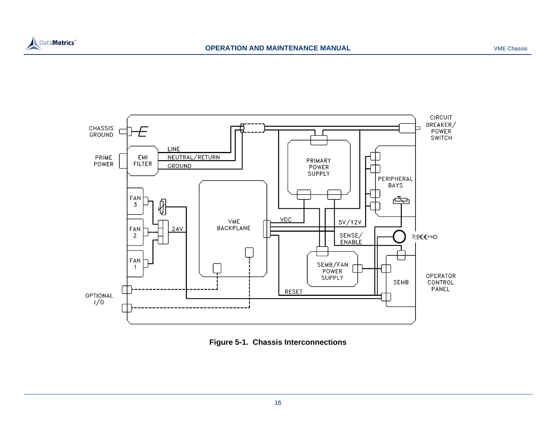



![](_page_20_Figure_4.jpeg)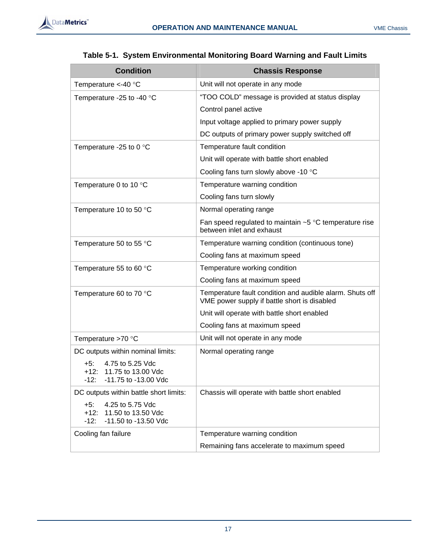![](_page_21_Picture_1.jpeg)

| <b>Condition</b>                                                                            | <b>Chassis Response</b>                                                                                  |
|---------------------------------------------------------------------------------------------|----------------------------------------------------------------------------------------------------------|
| Temperature $\lt$ -40 °C                                                                    | Unit will not operate in any mode                                                                        |
| Temperature -25 to -40 °C                                                                   | "TOO COLD" message is provided at status display                                                         |
|                                                                                             | Control panel active                                                                                     |
|                                                                                             | Input voltage applied to primary power supply                                                            |
|                                                                                             | DC outputs of primary power supply switched off                                                          |
| Temperature -25 to 0 °C                                                                     | Temperature fault condition                                                                              |
|                                                                                             | Unit will operate with battle short enabled                                                              |
|                                                                                             | Cooling fans turn slowly above -10 °C                                                                    |
| Temperature 0 to 10 $\degree$ C                                                             | Temperature warning condition                                                                            |
|                                                                                             | Cooling fans turn slowly                                                                                 |
| Temperature 10 to 50 °C                                                                     | Normal operating range                                                                                   |
|                                                                                             | Fan speed regulated to maintain $~5$ °C temperature rise<br>between inlet and exhaust                    |
| Temperature 50 to 55 °C                                                                     | Temperature warning condition (continuous tone)                                                          |
|                                                                                             | Cooling fans at maximum speed                                                                            |
| Temperature 55 to 60 °C                                                                     | Temperature working condition                                                                            |
|                                                                                             | Cooling fans at maximum speed                                                                            |
| Temperature 60 to 70 °C                                                                     | Temperature fault condition and audible alarm. Shuts off<br>VME power supply if battle short is disabled |
|                                                                                             | Unit will operate with battle short enabled                                                              |
|                                                                                             | Cooling fans at maximum speed                                                                            |
| Temperature >70 °C                                                                          | Unit will not operate in any mode                                                                        |
| DC outputs within nominal limits:                                                           | Normal operating range                                                                                   |
| 4.75 to 5.25 Vdc<br>+5:<br>$+12:$<br>11.75 to 13.00 Vdc<br>-12:<br>$-11.75$ to $-13.00$ Vdc |                                                                                                          |
| DC outputs within battle short limits:                                                      | Chassis will operate with battle short enabled                                                           |
| 4.25 to 5.75 Vdc<br>$+5:$<br>$+12:$<br>11.50 to 13.50 Vdc<br>-11.50 to -13.50 Vdc<br>$-12:$ |                                                                                                          |
| Cooling fan failure                                                                         | Temperature warning condition                                                                            |
|                                                                                             | Remaining fans accelerate to maximum speed                                                               |

# **Table 5-1. System Environmental Monitoring Board Warning and Fault Limits**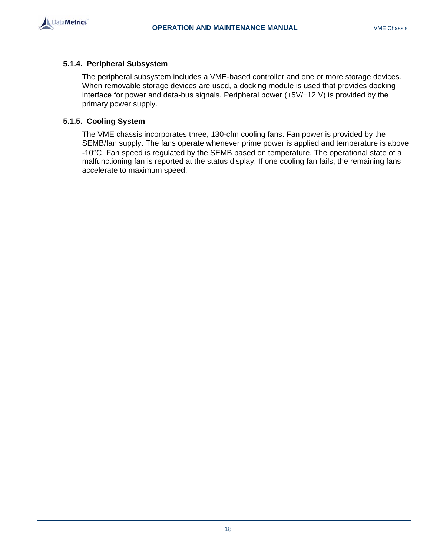![](_page_22_Picture_0.jpeg)

![](_page_22_Picture_2.jpeg)

## **5.1.4. Peripheral Subsystem**

The peripheral subsystem includes a VME-based controller and one or more storage devices. When removable storage devices are used, a docking module is used that provides docking interface for power and data-bus signals. Peripheral power (+5V/±12 V) is provided by the primary power supply.

# **5.1.5. Cooling System**

The VME chassis incorporates three, 130-cfm cooling fans. Fan power is provided by the SEMB/fan supply. The fans operate whenever prime power is applied and temperature is above -10°C. Fan speed is regulated by the SEMB based on temperature. The operational state of a malfunctioning fan is reported at the status display. If one cooling fan fails, the remaining fans accelerate to maximum speed.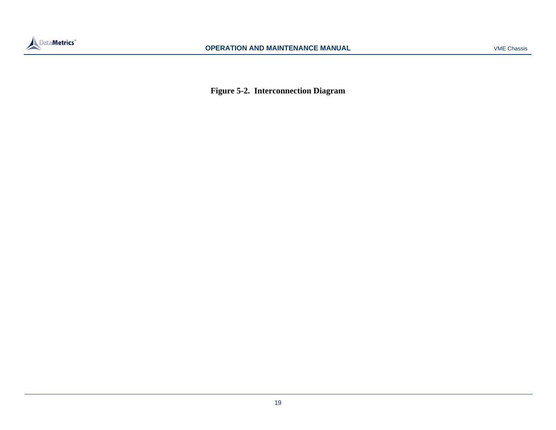![](_page_23_Picture_0.jpeg)

**Figure 5-2. Interconnection Diagram**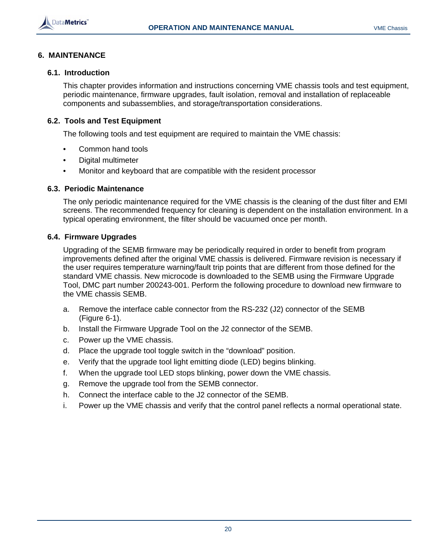![](_page_24_Picture_0.jpeg)

# **6. MAINTENANCE**

#### **6.1. Introduction**

This chapter provides information and instructions concerning VME chassis tools and test equipment, periodic maintenance, firmware upgrades, fault isolation, removal and installation of replaceable components and subassemblies, and storage/transportation considerations.

## **6.2. Tools and Test Equipment**

The following tools and test equipment are required to maintain the VME chassis:

- Common hand tools
- Digital multimeter
- Monitor and keyboard that are compatible with the resident processor

#### **6.3. Periodic Maintenance**

The only periodic maintenance required for the VME chassis is the cleaning of the dust filter and EMI screens. The recommended frequency for cleaning is dependent on the installation environment. In a typical operating environment, the filter should be vacuumed once per month.

## **6.4. Firmware Upgrades**

Upgrading of the SEMB firmware may be periodically required in order to benefit from program improvements defined after the original VME chassis is delivered. Firmware revision is necessary if the user requires temperature warning/fault trip points that are different from those defined for the standard VME chassis. New microcode is downloaded to the SEMB using the Firmware Upgrade Tool, DMC part number 200243-001. Perform the following procedure to download new firmware to the VME chassis SEMB.

- a. Remove the interface cable connector from the RS-232 (J2) connector of the SEMB (Figure 6-1).
- b. Install the Firmware Upgrade Tool on the J2 connector of the SEMB.
- c. Power up the VME chassis.
- d. Place the upgrade tool toggle switch in the "download" position.
- e. Verify that the upgrade tool light emitting diode (LED) begins blinking.
- f. When the upgrade tool LED stops blinking, power down the VME chassis.
- g. Remove the upgrade tool from the SEMB connector.
- h. Connect the interface cable to the J2 connector of the SEMB.
- i. Power up the VME chassis and verify that the control panel reflects a normal operational state.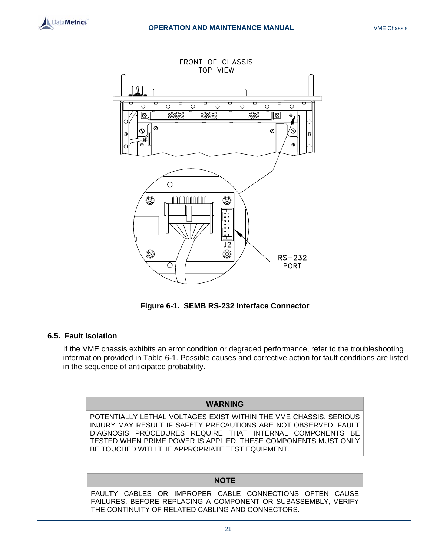![](_page_25_Picture_0.jpeg)

![](_page_25_Figure_3.jpeg)

**Figure 6-1. SEMB RS-232 Interface Connector** 

## **6.5. Fault Isolation**

If the VME chassis exhibits an error condition or degraded performance, refer to the troubleshooting information provided in Table 6-1. Possible causes and corrective action for fault conditions are listed in the sequence of anticipated probability.

#### **WARNING**

POTENTIALLY LETHAL VOLTAGES EXIST WITHIN THE VME CHASSIS. SERIOUS INJURY MAY RESULT IF SAFETY PRECAUTIONS ARE NOT OBSERVED. FAULT DIAGNOSIS PROCEDURES REQUIRE THAT INTERNAL COMPONENTS BE TESTED WHEN PRIME POWER IS APPLIED. THESE COMPONENTS MUST ONLY BE TOUCHED WITH THE APPROPRIATE TEST EQUIPMENT.

# **NOTE**

FAULTY CABLES OR IMPROPER CABLE CONNECTIONS OFTEN CAUSE FAILURES. BEFORE REPLACING A COMPONENT OR SUBASSEMBLY, VERIFY THE CONTINUITY OF RELATED CABLING AND CONNECTORS.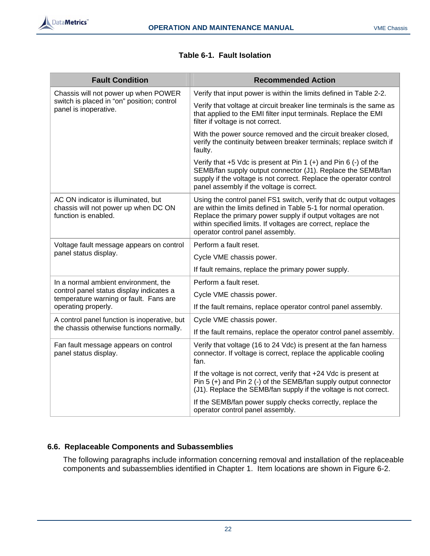![](_page_26_Picture_1.jpeg)

| <b>Fault Condition</b>                                                                                                                            | <b>Recommended Action</b>                                                                                                                                                                                                                                                                                  |
|---------------------------------------------------------------------------------------------------------------------------------------------------|------------------------------------------------------------------------------------------------------------------------------------------------------------------------------------------------------------------------------------------------------------------------------------------------------------|
| Chassis will not power up when POWER<br>switch is placed in "on" position; control<br>panel is inoperative.                                       | Verify that input power is within the limits defined in Table 2-2.                                                                                                                                                                                                                                         |
|                                                                                                                                                   | Verify that voltage at circuit breaker line terminals is the same as<br>that applied to the EMI filter input terminals. Replace the EMI<br>filter if voltage is not correct.                                                                                                                               |
|                                                                                                                                                   | With the power source removed and the circuit breaker closed,<br>verify the continuity between breaker terminals; replace switch if<br>faulty.                                                                                                                                                             |
|                                                                                                                                                   | Verify that $+5$ Vdc is present at Pin 1 $(+)$ and Pin 6 $(-)$ of the<br>SEMB/fan supply output connector (J1). Replace the SEMB/fan<br>supply if the voltage is not correct. Replace the operator control<br>panel assembly if the voltage is correct.                                                    |
| AC ON indicator is illuminated, but<br>chassis will not power up when DC ON<br>function is enabled.                                               | Using the control panel FS1 switch, verify that dc output voltages<br>are within the limits defined in Table 5-1 for normal operation.<br>Replace the primary power supply if output voltages are not<br>within specified limits. If voltages are correct, replace the<br>operator control panel assembly. |
| Voltage fault message appears on control<br>panel status display.                                                                                 | Perform a fault reset.                                                                                                                                                                                                                                                                                     |
|                                                                                                                                                   | Cycle VME chassis power.                                                                                                                                                                                                                                                                                   |
|                                                                                                                                                   | If fault remains, replace the primary power supply.                                                                                                                                                                                                                                                        |
| In a normal ambient environment, the<br>control panel status display indicates a<br>temperature warning or fault. Fans are<br>operating properly. | Perform a fault reset.                                                                                                                                                                                                                                                                                     |
|                                                                                                                                                   | Cycle VME chassis power.                                                                                                                                                                                                                                                                                   |
|                                                                                                                                                   | If the fault remains, replace operator control panel assembly.                                                                                                                                                                                                                                             |
| A control panel function is inoperative, but<br>the chassis otherwise functions normally.                                                         | Cycle VME chassis power.                                                                                                                                                                                                                                                                                   |
|                                                                                                                                                   | If the fault remains, replace the operator control panel assembly.                                                                                                                                                                                                                                         |
| Fan fault message appears on control<br>panel status display.                                                                                     | Verify that voltage (16 to 24 Vdc) is present at the fan harness<br>connector. If voltage is correct, replace the applicable cooling<br>fan.                                                                                                                                                               |
|                                                                                                                                                   | If the voltage is not correct, verify that +24 Vdc is present at<br>Pin 5 (+) and Pin 2 (-) of the SEMB/fan supply output connector<br>(J1). Replace the SEMB/fan supply if the voltage is not correct.                                                                                                    |
|                                                                                                                                                   | If the SEMB/fan power supply checks correctly, replace the<br>operator control panel assembly.                                                                                                                                                                                                             |

# **Table 6-1. Fault Isolation**

# **6.6. Replaceable Components and Subassemblies**

The following paragraphs include information concerning removal and installation of the replaceable components and subassemblies identified in Chapter 1. Item locations are shown in Figure 6-2.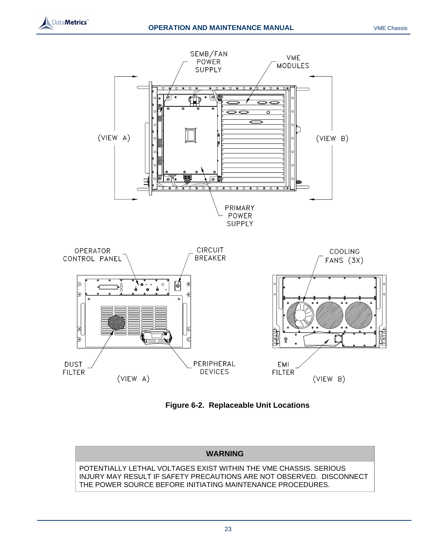![](_page_27_Picture_0.jpeg)

![](_page_27_Figure_3.jpeg)

**DUST FILTER** 

 $(VIEW A)$ 

![](_page_27_Figure_5.jpeg)

**EMI** 

**FILTER** 

 $(VIEW B)$ 

PERIPHERAL

**DEVICES** 

# **WARNING**  POTENTIALLY LETHAL VOLTAGES EXIST WITHIN THE VME CHASSIS. SERIOUS INJURY MAY RESULT IF SAFETY PRECAUTIONS ARE NOT OBSERVED. DISCONNECT THE POWER SOURCE BEFORE INITIATING MAINTENANCE PROCEDURES.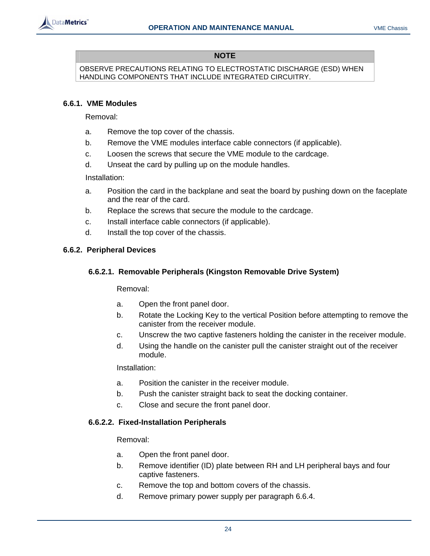![](_page_28_Picture_0.jpeg)

# **NOTE**

OBSERVE PRECAUTIONS RELATING TO ELECTROSTATIC DISCHARGE (ESD) WHEN HANDLING COMPONENTS THAT INCLUDE INTEGRATED CIRCUITRY.

# **6.6.1. VME Modules**

Removal:

- a. Remove the top cover of the chassis.
- b. Remove the VME modules interface cable connectors (if applicable).
- c. Loosen the screws that secure the VME module to the cardcage.
- d. Unseat the card by pulling up on the module handles.

Installation:

- a. Position the card in the backplane and seat the board by pushing down on the faceplate and the rear of the card.
- b. Replace the screws that secure the module to the cardcage.
- c. Install interface cable connectors (if applicable).
- d. Install the top cover of the chassis.

# **6.6.2. Peripheral Devices**

# **6.6.2.1. Removable Peripherals (Kingston Removable Drive System)**

Removal:

- a. Open the front panel door.
- b. Rotate the Locking Key to the vertical Position before attempting to remove the canister from the receiver module.
- c. Unscrew the two captive fasteners holding the canister in the receiver module.
- d. Using the handle on the canister pull the canister straight out of the receiver module.

Installation:

- a. Position the canister in the receiver module.
- b. Push the canister straight back to seat the docking container.
- c. Close and secure the front panel door.

# **6.6.2.2. Fixed-Installation Peripherals**

Removal:

- a. Open the front panel door.
- b. Remove identifier (ID) plate between RH and LH peripheral bays and four captive fasteners.
- c. Remove the top and bottom covers of the chassis.
- d. Remove primary power supply per paragraph 6.6.4.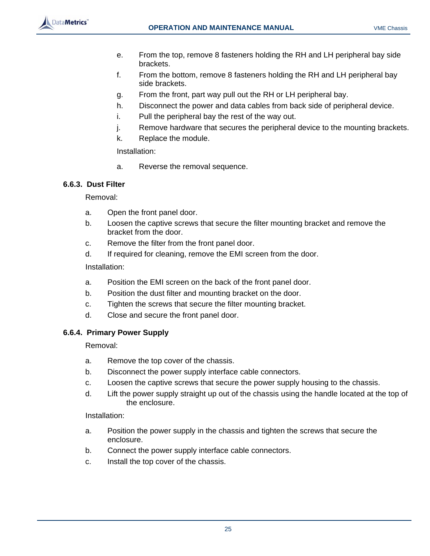![](_page_29_Picture_0.jpeg)

- e. From the top, remove 8 fasteners holding the RH and LH peripheral bay side brackets.
- f. From the bottom, remove 8 fasteners holding the RH and LH peripheral bay side brackets.
- g. From the front, part way pull out the RH or LH peripheral bay.
- h. Disconnect the power and data cables from back side of peripheral device.
- i. Pull the peripheral bay the rest of the way out.
- j. Remove hardware that secures the peripheral device to the mounting brackets.
- k. Replace the module.

Installation:

a. Reverse the removal sequence.

## **6.6.3. Dust Filter**

Removal:

- a. Open the front panel door.
- b. Loosen the captive screws that secure the filter mounting bracket and remove the bracket from the door.
- c. Remove the filter from the front panel door.
- d. If required for cleaning, remove the EMI screen from the door.

Installation:

- a. Position the EMI screen on the back of the front panel door.
- b. Position the dust filter and mounting bracket on the door.
- c. Tighten the screws that secure the filter mounting bracket.
- d. Close and secure the front panel door.

## **6.6.4. Primary Power Supply**

Removal:

- a. Remove the top cover of the chassis.
- b. Disconnect the power supply interface cable connectors.
- c. Loosen the captive screws that secure the power supply housing to the chassis.
- d. Lift the power supply straight up out of the chassis using the handle located at the top of the enclosure.

Installation:

- a. Position the power supply in the chassis and tighten the screws that secure the enclosure.
- b. Connect the power supply interface cable connectors.
- c. Install the top cover of the chassis.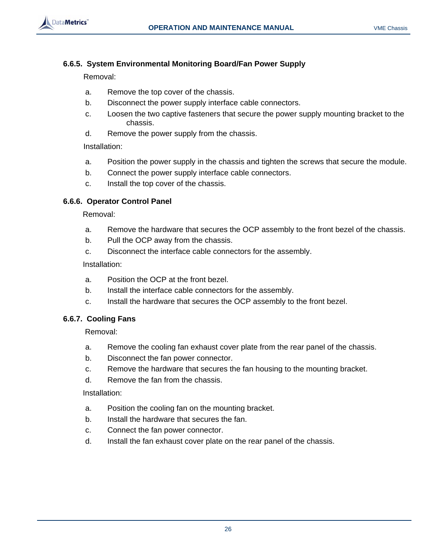![](_page_30_Picture_0.jpeg)

# **6.6.5. System Environmental Monitoring Board/Fan Power Supply**

Removal:

- a. Remove the top cover of the chassis.
- b. Disconnect the power supply interface cable connectors.
- c. Loosen the two captive fasteners that secure the power supply mounting bracket to the chassis.
- d. Remove the power supply from the chassis.

Installation:

- a. Position the power supply in the chassis and tighten the screws that secure the module.
- b. Connect the power supply interface cable connectors.
- c. Install the top cover of the chassis.

# **6.6.6. Operator Control Panel**

Removal:

- a. Remove the hardware that secures the OCP assembly to the front bezel of the chassis.
- b. Pull the OCP away from the chassis.
- c. Disconnect the interface cable connectors for the assembly.

Installation:

- a. Position the OCP at the front bezel.
- b. Install the interface cable connectors for the assembly.
- c. Install the hardware that secures the OCP assembly to the front bezel.

# **6.6.7. Cooling Fans**

Removal:

- a. Remove the cooling fan exhaust cover plate from the rear panel of the chassis.
- b. Disconnect the fan power connector.
- c. Remove the hardware that secures the fan housing to the mounting bracket.
- d. Remove the fan from the chassis.

Installation:

- a. Position the cooling fan on the mounting bracket.
- b. Install the hardware that secures the fan.
- c. Connect the fan power connector.
- d. Install the fan exhaust cover plate on the rear panel of the chassis.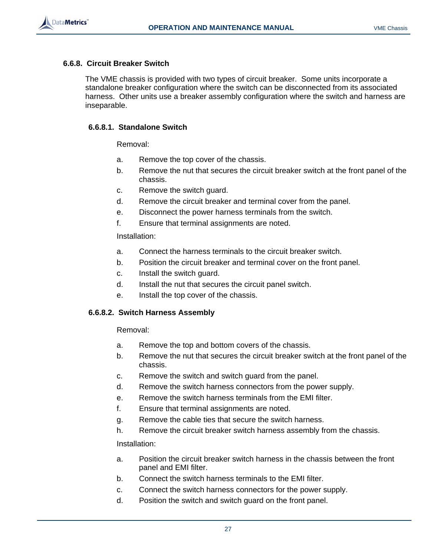![](_page_31_Picture_2.jpeg)

# **6.6.8. Circuit Breaker Switch**

The VME chassis is provided with two types of circuit breaker. Some units incorporate a standalone breaker configuration where the switch can be disconnected from its associated harness. Other units use a breaker assembly configuration where the switch and harness are inseparable.

# **6.6.8.1. Standalone Switch**

Removal:

- a. Remove the top cover of the chassis.
- b. Remove the nut that secures the circuit breaker switch at the front panel of the chassis.
- c. Remove the switch guard.
- d. Remove the circuit breaker and terminal cover from the panel.
- e. Disconnect the power harness terminals from the switch.
- f. Ensure that terminal assignments are noted.

# Installation:

- a. Connect the harness terminals to the circuit breaker switch.
- b. Position the circuit breaker and terminal cover on the front panel.
- c. Install the switch guard.
- d. Install the nut that secures the circuit panel switch.
- e. Install the top cover of the chassis.

# **6.6.8.2. Switch Harness Assembly**

Removal:

- a. Remove the top and bottom covers of the chassis.
- b. Remove the nut that secures the circuit breaker switch at the front panel of the chassis.
- c. Remove the switch and switch guard from the panel.
- d. Remove the switch harness connectors from the power supply.
- e. Remove the switch harness terminals from the EMI filter.
- f. Ensure that terminal assignments are noted.
- g. Remove the cable ties that secure the switch harness.
- h. Remove the circuit breaker switch harness assembly from the chassis.

Installation:

- a. Position the circuit breaker switch harness in the chassis between the front panel and EMI filter.
- b. Connect the switch harness terminals to the EMI filter.
- c. Connect the switch harness connectors for the power supply.
- d. Position the switch and switch guard on the front panel.